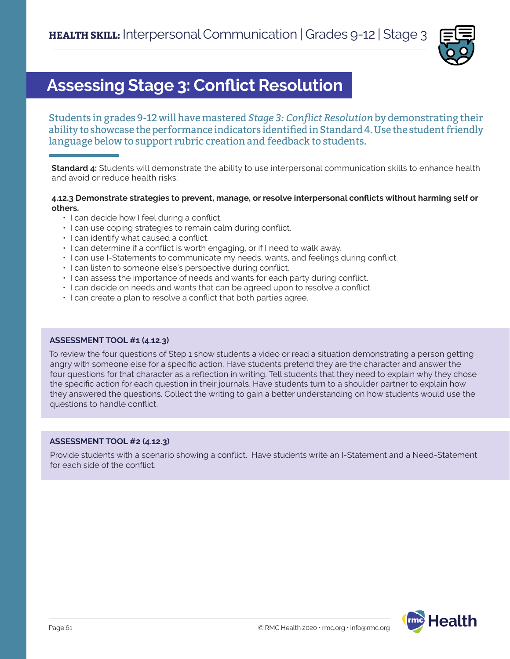

## **Assessing Stage 3: Conflict Resolution**

Students in grades 9-12 will have mastered *Stage 3: Conflict Resolution* by demonstrating their ability to showcase the performance indicators identified in Standard 4. Use the student friendly language below to support rubric creation and feedback to students.

**Standard 4:** Students will demonstrate the ability to use interpersonal communication skills to enhance health and avoid or reduce health risks.

#### **4.12.3 Demonstrate strategies to prevent, manage, or resolve interpersonal conflicts without harming self or others.**

- I can decide how I feel during a conflict.
- I can use coping strategies to remain calm during conflict.
- I can identify what caused a conflict.
- I can determine if a conflict is worth engaging, or if I need to walk away.
- I can use I-Statements to communicate my needs, wants, and feelings during conflict.
- I can listen to someone else's perspective during conflict.
- I can assess the importance of needs and wants for each party during conflict.
- I can decide on needs and wants that can be agreed upon to resolve a conflict.
- I can create a plan to resolve a conflict that both parties agree.

#### **ASSESSMENT TOOL #1 (4.12.3)**

To review the four questions of Step 1 show students a video or read a situation demonstrating a person getting angry with someone else for a specific action. Have students pretend they are the character and answer the four questions for that character as a reflection in writing. Tell students that they need to explain why they chose the specific action for each question in their journals. Have students turn to a shoulder partner to explain how they answered the questions. Collect the writing to gain a better understanding on how students would use the questions to handle conflict.

#### **ASSESSMENT TOOL #2 (4.12.3)**

Provide students with a scenario showing a conflict. Have students write an I-Statement and a Need-Statement for each side of the conflict.

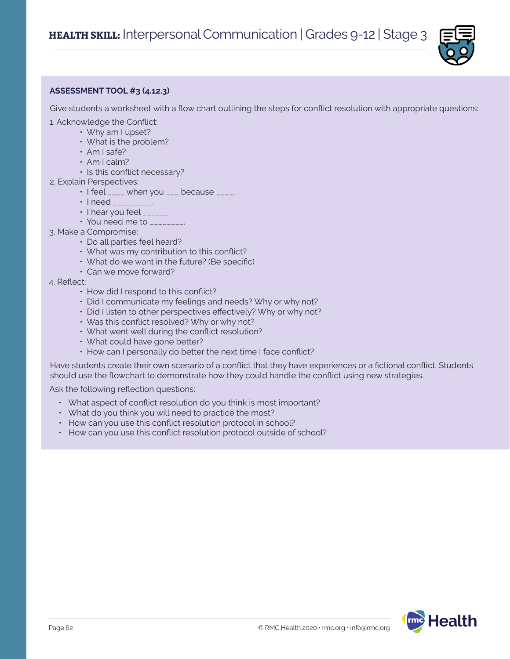

### **ASSESSMENT TOOL #3 (4.12.3)**

Give students a worksheet with a flow chart outlining the steps for conflict resolution with appropriate questions:

- 1. Acknowledge the Conflict:
	- Why am I upset?
		- What is the problem?
		- Am I safe?
		- Am I calm?
		- Is this conflict necessary?
- 2. Explain Perspectives:
	- $\cdot$  I feel  $\frac{1}{2}$  when you  $\frac{1}{2}$  because  $\frac{1}{2}$ .
	- I need \_\_\_\_\_\_\_\_\_.
	- I hear you feel \_\_\_\_\_\_.
	- You need me to \_\_\_\_\_\_\_\_.
- 3. Make a Compromise:
	- Do all parties feel heard?
	- What was my contribution to this conflict?
	- What do we want in the future? (Be specific)
	- Can we move forward?
- 4. Reflect:
	- How did I respond to this conflict?
	- Did I communicate my feelings and needs? Why or why not?
	- Did I listen to other perspectives effectively? Why or why not?
	- Was this conflict resolved? Why or why not?
	- What went well during the conflict resolution?
	- What could have gone better?
	- How can I personally do better the next time I face conflict?

Have students create their own scenario of a conflict that they have experiences or a fictional conflict. Students should use the flowchart to demonstrate how they could handle the conflict using new strategies.

Ask the following reflection questions:

- What aspect of conflict resolution do you think is most important?
- What do you think you will need to practice the most?
- How can you use this conflict resolution protocol in school?
- How can you use this conflict resolution protocol outside of school?

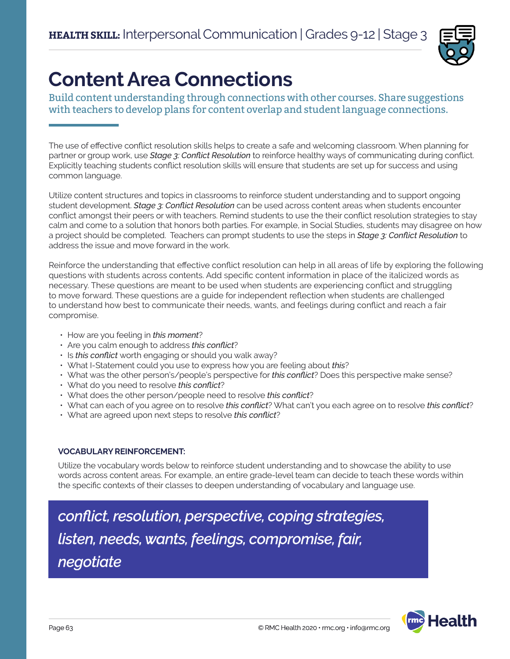

# **Content Area Connections**

Build content understanding through connections with other courses. Share suggestions with teachers to develop plans for content overlap and student language connections.

The use of effective conflict resolution skills helps to create a safe and welcoming classroom. When planning for partner or group work, use *Stage 3: Conflict Resolution* to reinforce healthy ways of communicating during conflict. Explicitly teaching students conflict resolution skills will ensure that students are set up for success and using common language.

Utilize content structures and topics in classrooms to reinforce student understanding and to support ongoing student development. *Stage 3: Conflict Resolution* can be used across content areas when students encounter conflict amongst their peers or with teachers. Remind students to use the their conflict resolution strategies to stay calm and come to a solution that honors both parties. For example, in Social Studies, students may disagree on how a project should be completed. Teachers can prompt students to use the steps in *Stage 3: Conflict Resolution* to address the issue and move forward in the work.

Reinforce the understanding that effective conflict resolution can help in all areas of life by exploring the following questions with students across contents. Add specific content information in place of the italicized words as necessary. These questions are meant to be used when students are experiencing conflict and struggling to move forward. These questions are a guide for independent reflection when students are challenged to understand how best to communicate their needs, wants, and feelings during conflict and reach a fair compromise.

- How are you feeling in *this moment*?
- Are you calm enough to address *this conflict*?
- Is *this conflict* worth engaging or should you walk away?
- What I-Statement could you use to express how you are feeling about *this*?
- What was the other person's/people's perspective for *this conflict*? Does this perspective make sense?
- What do you need to resolve *this conflict*?
- What does the other person/people need to resolve *this conflict*?
- What can each of you agree on to resolve *this conflict*? What can't you each agree on to resolve *this conflict*?
- What are agreed upon next steps to resolve *this conflict*?

### **VOCABULARY REINFORCEMENT:**

Utilize the vocabulary words below to reinforce student understanding and to showcase the ability to use words across content areas. For example, an entire grade-level team can decide to teach these words within the specific contexts of their classes to deepen understanding of vocabulary and language use.

*conflict, resolution, perspective, coping strategies, listen, needs, wants, feelings, compromise, fair, negotiate*